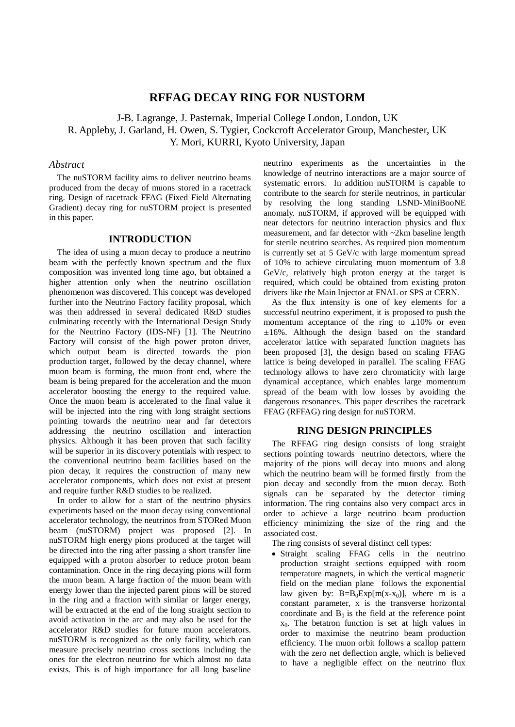# **RFFAG DECAY RING FOR NUSTORM**

J-B. Lagrange, J. Pasternak, Imperial College London, London, UK R. Appleby, J. Garland, H. Owen, S. Tygier, Cockcroft Accelerator Group, Manchester, UK Y. Mori, KURRI, Kyoto University, Japan

## *Abstract*

The nuSTORM facility aims to deliver neutrino beams produced from the decay of muons stored in a racetrack ring. Design of racetrack FFAG (Fixed Field Alternating Gradient) decay ring for nuSTORM project is presented in this paper.

## **INTRODUCTION**

The idea of using a muon decay to produce a neutrino beam with the perfectly known spectrum and the flux composition was invented long time ago, but obtained a higher attention only when the neutrino oscillation phenomenon was discovered. This concept was developed further into the Neutrino Factory facility proposal, which was then addressed in several dedicated R&D studies culminating recently with the International Design Study for the Neutrino Factory (IDS-NF) [1]. The Neutrino Factory will consist of the high power proton driver, which output beam is directed towards the pion production target, followed by the decay channel, where muon beam is forming, the muon front end, where the beam is being prepared for the acceleration and the muon accelerator boosting the energy to the required value. Once the muon beam is accelerated to the final value it will be injected into the ring with long straight sections pointing towards the neutrino near and far detectors addressing the neutrino oscillation and interaction physics. Although it has been proven that such facility will be superior in its discovery potentials with respect to the conventional neutrino beam facilities based on the pion decay, it requires the construction of many new accelerator components, which does not exist at present and require further R&D studies to be realized.

In order to allow for a start of the neutrino physics experiments based on the muon decay using conventional accelerator technology, the neutrinos from STORed Muon beam (nuSTORM) project was proposed [2]. In nuSTORM high energy pions produced at the target will be directed into the ring after passing a short transfer line equipped with a proton absorber to reduce proton beam contamination. Once in the ring decaying pions will form the muon beam. A large fraction of the muon beam with energy lower than the injected parent pions will be stored in the ring and a fraction with similar or larger energy, will be extracted at the end of the long straight section to avoid activation in the arc and may also be used for the accelerator R&D studies for future muon accelerators. nuSTORM is recognized as the only facility, which can measure precisely neutrino cross sections including the ones for the electron neutrino for which almost no data exists. This is of high importance for all long baseline

neutrino experiments as the uncertainties in the knowledge of neutrino interactions are a major source of systematic errors. In addition nuSTORM is capable to contribute to the search for sterile neutrinos, in particular by resolving the long standing LSND-MiniBooNE anomaly. nuSTORM, if approved will be equipped with near detectors for neutrino interaction physics and flux measurement, and far detector with ~2km baseline length for sterile neutrino searches. As required pion momentum is currently set at 5 GeV/c with large momentum spread of 10% to achieve circulating muon momentum of 3.8 GeV/c, relatively high proton energy at the target is required, which could be obtained from existing proton drivers like the Main Injector at FNAL or SPS at CERN.

As the flux intensity is one of key elements for a successful neutrino experiment, it is proposed to push the momentum acceptance of the ring to  $\pm 10\%$  or even  $\pm 16\%$ . Although the design based on the standard accelerator lattice with separated function magnets has been proposed [3], the design based on scaling FFAG lattice is being developed in parallel. The scaling FFAG technology allows to have zero chromaticity with large dynamical acceptance, which enables large momentum spread of the beam with low losses by avoiding the dangerous resonances. This paper describes the racetrack FFAG (RFFAG) ring design for nuSTORM.

#### **RING DESIGN PRINCIPLES**

The RFFAG ring design consists of long straight sections pointing towards neutrino detectors, where the majority of the pions will decay into muons and along which the neutrino beam will be formed firstly from the pion decay and secondly from the muon decay. Both signals can be separated by the detector timing information. The ring contains also very compact arcs in order to achieve a large neutrino beam production efficiency minimizing the size of the ring and the associated cost.

The ring consists of several distinct cell types:

• Straight scaling FFAG cells in the neutrino production straight sections equipped with room temperature magnets, in which the vertical magnetic field on the median plane follows the exponential law given by:  $B=B_0Exp[m(x-x_0)]$ , where m is a constant parameter, x is the transverse horizontal coordinate and  $B_0$  is the field at the reference point  $x_0$ . The betatron function is set at high values in order to maximise the neutrino beam production efficiency. The muon orbit follows a scallop pattern with the zero net deflection angle, which is believed to have a negligible effect on the neutrino flux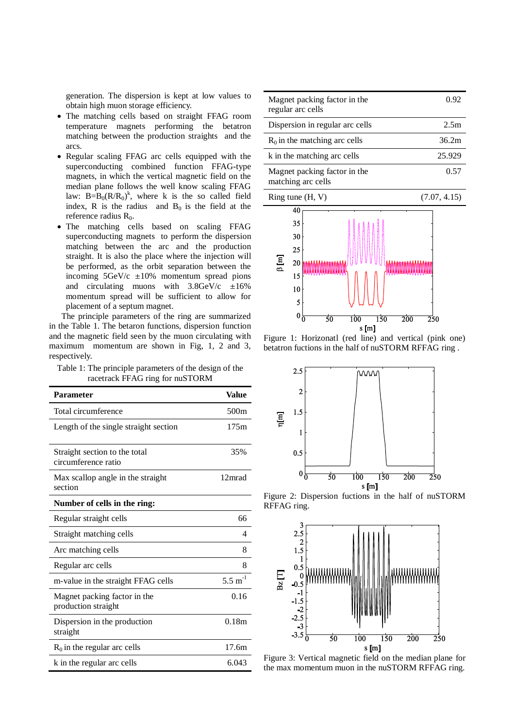generation. The dispersion is kept at low values to obtain high muon storage efficiency.

- The matching cells based on straight FFAG room temperature magnets performing the betatron matching between the production straights and the arcs.
- Regular scaling FFAG arc cells equipped with the superconducting combined function FFAG-type magnets, in which the vertical magnetic field on the median plane follows the well know scaling FFAG law:  $B = B_0(R/R_0)^k$ , where k is the so called field index, R is the radius and  $B_0$  is the field at the reference radius  $R_0$ .
- The matching cells based on scaling FFAG superconducting magnets to perform the dispersion matching between the arc and the production straight. It is also the place where the injection will be performed, as the orbit separation between the incoming  $5 \text{GeV/c}$   $\pm 10\%$  momentum spread pions and circulating muons with  $3.8 \text{GeV/c}$   $\pm 16\%$ momentum spread will be sufficient to allow for placement of a septum magnet.

The principle parameters of the ring are summarized in the Table 1. The betaron functions, dispersion function and the magnetic field seen by the muon circulating with maximum momentum are shown in Fig, 1, 2 and 3, respectively.

Table 1: The principle parameters of the design of the racetrack FFAG ring for nuSTORM

| <b>Parameter</b>                                     | Value                |
|------------------------------------------------------|----------------------|
| Total circumference                                  | 500m                 |
| Length of the single straight section                | 175m                 |
| Straight section to the total<br>circumference ratio | 35%                  |
| Max scallop angle in the straight<br>section         | 12mrad               |
| Number of cells in the ring:                         |                      |
| Regular straight cells                               | 66                   |
| Straight matching cells                              | 4                    |
| Arc matching cells                                   | 8                    |
| Regular arc cells                                    | 8                    |
| m-value in the straight FFAG cells                   | $5.5 \text{ m}^{-1}$ |
| Magnet packing factor in the<br>production straight  | 0.16                 |
| Dispersion in the production<br>straight             | 0.18m                |
| $R_0$ in the regular arc cells                       | 17.6m                |
| k in the regular arc cells                           | 6.043                |

| Magnet packing factor in the<br>regular arc cells  | 0.92         |
|----------------------------------------------------|--------------|
| Dispersion in regular arc cells                    | 2.5m         |
| $R_0$ in the matching arc cells                    | 36.2m        |
| k in the matching arc cells                        | 25.929       |
| Magnet packing factor in the<br>matching arc cells | 0.57         |
| Ring tune $(H, V)$                                 | (7.07, 4.15) |



Figure 1: Horizonatl (red line) and vertical (pink one) betatron fuctions in the half of nuSTORM RFFAG ring .



Figure 2: Dispersion fuctions in the half of nuSTORM RFFAG ring.



Figure 3: Vertical magnetic field on the median plane for the max momentum muon in the nuSTORM RFFAG ring.